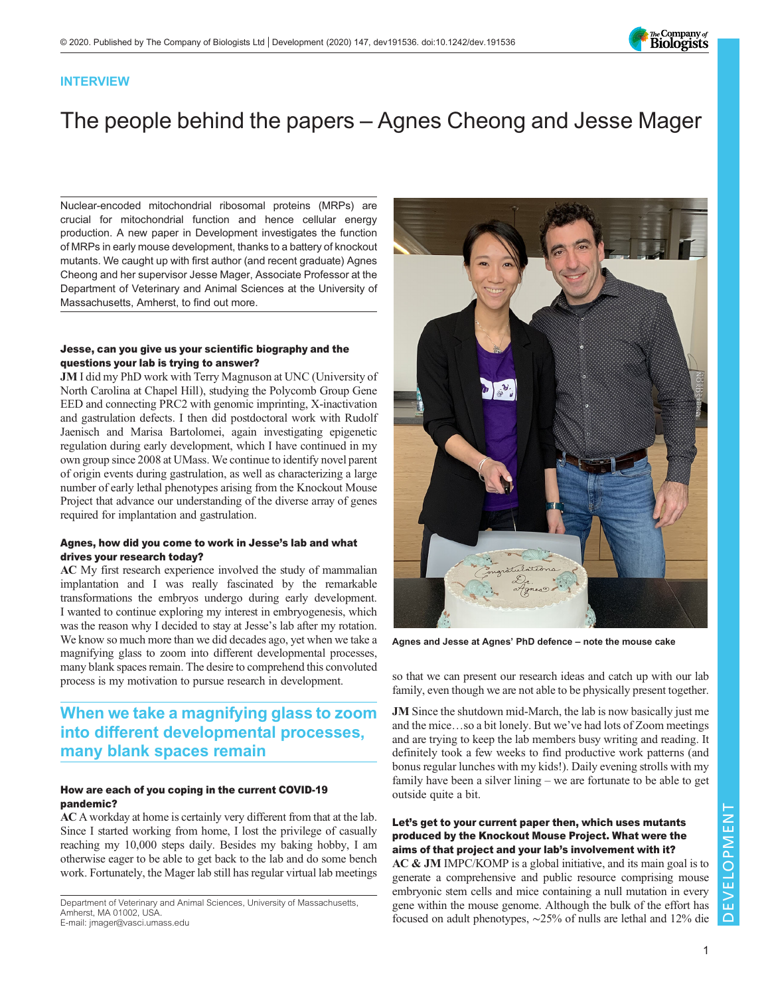

## INTERVIEW

# The people behind the papers – Agnes Cheong and Jesse Mager

Nuclear-encoded mitochondrial ribosomal proteins (MRPs) are crucial for mitochondrial function and hence cellular energy production. A [new paper in Development](https://doi.org/10.1242/dev188714) investigates the function of MRPs in early mouse development, thanks to a battery of knockout mutants. We caught up with first author (and recent graduate) Agnes Cheong and her supervisor Jesse Mager, Associate Professor at the Department of Veterinary and Animal Sciences at the University of Massachusetts, Amherst, to find out more.

#### Jesse, can you give us your scientific biography and the questions your lab is trying to answer?

JM I did my PhD work with Terry Magnuson at UNC (University of North Carolina at Chapel Hill), studying the Polycomb Group Gene EED and connecting PRC2 with genomic imprinting, X-inactivation and gastrulation defects. I then did postdoctoral work with Rudolf Jaenisch and Marisa Bartolomei, again investigating epigenetic regulation during early development, which I have continued in my own group since 2008 at UMass. We continue to identify novel parent of origin events during gastrulation, as well as characterizing a large number of early lethal phenotypes arising from the Knockout Mouse Project that advance our understanding of the diverse array of genes required for implantation and gastrulation.

#### Agnes, how did you come to work in Jesse's lab and what drives your research today?

AC My first research experience involved the study of mammalian implantation and I was really fascinated by the remarkable transformations the embryos undergo during early development. I wanted to continue exploring my interest in embryogenesis, which was the reason why I decided to stay at Jesse's lab after my rotation. We know so much more than we did decades ago, yet when we take a magnifying glass to zoom into different developmental processes, many blank spaces remain. The desire to comprehend this convoluted process is my motivation to pursue research in development.

# When we take a magnifying glass to zoom into different developmental processes, many blank spaces remain

#### How are each of you coping in the current COVID-19 pandemic?

AC A workday at home is certainly very different from that at the lab. Since I started working from home, I lost the privilege of casually reaching my 10,000 steps daily. Besides my baking hobby, I am otherwise eager to be able to get back to the lab and do some bench work. Fortunately, the Mager lab still has regular virtual lab meetings

Department of Veterinary and Animal Sciences, University of Massachusetts, Amherst, MA 01002, USA. E-mail: [jmager@vasci.umass.edu](mailto:jmager@vasci.umass.edu)



Agnes and Jesse at Agnes' PhD defence – note the mouse cake

so that we can present our research ideas and catch up with our lab family, even though we are not able to be physically present together.

JM Since the shutdown mid-March, the lab is now basically just me and the mice…so a bit lonely. But we've had lots of Zoom meetings and are trying to keep the lab members busy writing and reading. It definitely took a few weeks to find productive work patterns (and bonus regular lunches with my kids!). Daily evening strolls with my family have been a silver lining – we are fortunate to be able to get outside quite a bit.

#### Let's get to your current paper then, which uses mutants produced by the Knockout Mouse Project. What were the aims of that project and your lab's involvement with it?

AC & JM IMPC/KOMP is a global initiative, and its main goal is to generate a comprehensive and public resource comprising mouse embryonic stem cells and mice containing a null mutation in every gene within the mouse genome. Although the bulk of the effort has focused on adult phenotypes, ∼25% of nulls are lethal and 12% die